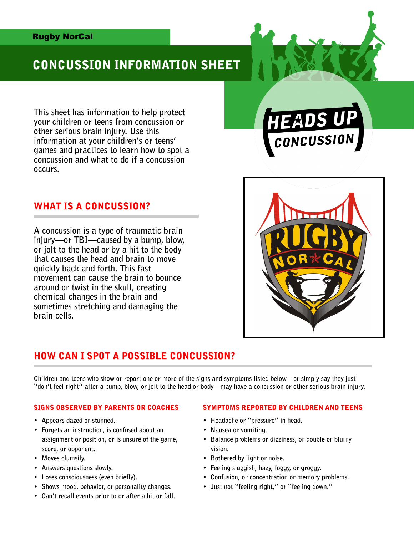# CONCUSSION INFORMATION SHEET

This sheet has information to help protect your children or teens from concussion or other serious brain injury. Use this information at your children's or teens' games and practices to learn how to spot a concussion and what to do if a concussion occurs.

## WHAT IS A CONCUSSION?

A concussion is a type of traumatic brain injury—or TBI—caused by a bump, blow, or jolt to the head or by a hit to the body that causes the head and brain to move quickly back and forth. This fast movement can cause the brain to bounce around or twist in the skull, creating chemical changes in the brain and sometimes stretching and damaging the brain cells.

# "don't feel right" after a bump, blow, or jolt to the head or body—may have a concussion or other serious brain injury.

#### SIGNS OBSERVED BY PARENTS OR COACHES

HOW CAN I SPOT A POSSIBLE CONCUSSION?

- Appears dazed or stunned.
- Forgets an instruction, is confused about an assignment or position, or is unsure of the game, score, or opponent.
- Moves clumsily.
- Answers questions slowly.
- Loses consciousness (even briefly).
- Shows mood, behavior, or personality changes.
- Can't recall events prior to or after a hit or fall.

#### SYMPTOMS REPORTED BY CHILDREN AND TEENS

- Headache or "pressure" in head.
- Nausea or vomiting.

Children and teens who show or report one or more of the signs and symptoms listed below—or simply say they just

- Balance problems or dizziness, or double or blurry vision.
- Bothered by light or noise.
- Feeling sluggish, hazy, foggy, or groggy.
- Confusion, or concentration or memory problems.
- Just not "feeling right," or "feeling down."



CONCUSSION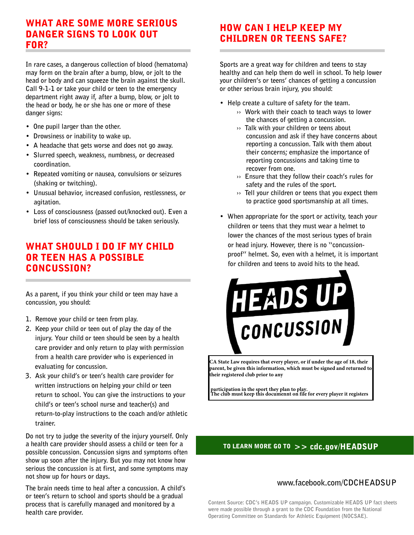## WHAT ARE SOME MORE SERIOUS DANGER SIGNS TO LOOK OUT FOR?

In rare cases, a dangerous collection of blood (hematoma) may form on the brain after a bump, blow, or jolt to the head or body and can squeeze the brain against the skull. Call 9-1-1 or take your child or teen to the emergency department right away if, after a bump, blow, or jolt to the head or body, he or she has one or more of these danger signs:

- One pupil larger than the other.
- Drowsiness or inability to wake up.
- A headache that gets worse and does not go away.
- Slurred speech, weakness, numbness, or decreased coordination.
- Repeated vomiting or nausea, convulsions or seizures (shaking or twitching).
- Unusual behavior, increased confusion, restlessness, or agitation.
- Loss of consciousness (passed out/knocked out). Even a brief loss of consciousness should be taken seriously.

# WHAT SHOULD I DO IF MY CHILD OR TEEN HAS A POSSIBLE CONCUSSION?

As a parent, if you think your child or teen may have a concussion, you should:

- 1. Remove your child or teen from play.
- 2. Keep your child or teen out of play the day of the injury. Your child or teen should be seen by a health care provider and only return to play with permission from a health care provider who is experienced in evaluating for concussion.
- 3. Ask your child's or teen's health care provider for written instructions on helping your child or teen return to school. You can give the instructions to your child's or teen's school nurse and teacher(s) and return-to-play instructions to the coach and/or athletic trainer.

Do not try to judge the severity of the injury yourself. Only a health care provider should assess a child or teen for a possible concussion. Concussion signs and symptoms often show up soon after the injury. But you may not know how serious the concussion is at first, and some symptoms may not show up for hours or days.

The brain needs time to heal after a concussion. A child's or teen's return to school and sports should be a gradual process that is carefully managed and monitored by a health care provider.

# HOW CAN I HELP KEEP MY CHILDREN OR TEENS SAFE?

Sports are a great way for children and teens to stay healthy and can help them do well in school. To help lower your children's or teens' chances of getting a concussion or other serious brain injury, you should:

- Help create a culture of safety for the team.
	- ›› Work with their coach to teach ways to lower the chances of getting a concussion.
	- $\rightarrow$  Talk with your children or teens about concussion and ask if they have concerns about reporting a concussion. Talk with them about their concerns; emphasize the importance of reporting concussions and taking time to recover from one.
	- ›› Ensure that they follow their coach's rules for safety and the rules of the sport.
	- ›› Tell your children or teens that you expect them to practice good sportsmanship at all times.
- When appropriate for the sport or activity, teach your children or teens that they must wear a helmet to lower the chances of the most serious types of brain or head injury. However, there is no "concussionproof" helmet. So, even with a helmet, it is important for children and teens to avoid hits to the head.



**CA State Law requires that every player, or if under the age of 18, their parent, be given this information, which must be signed and returned to their registered club prior to any** 

**participation in the sport they plan to play. The club must keep this documennt on file for every player it registers**

### TO LEARN MORE GO TO >> cdc.gov/HEADSUP

## www.facebook.com/CDCHEADSUP

Content Source: CDC's HEADS UP campaign. Customizable HEADS UP fact sheets were made possible through a grant to the CDC Foundation from the National Operating Committee on Standards for Athletic Equipment (NOCSAE).